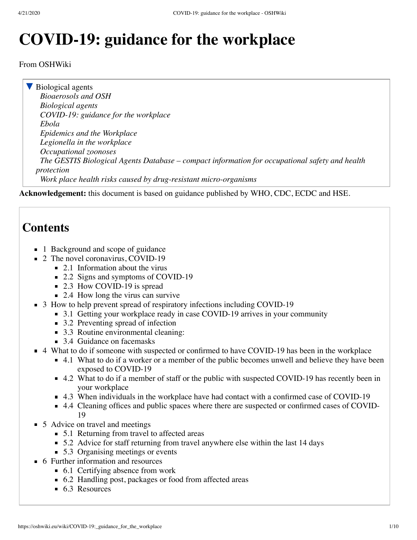## **COVID-19: guidance for the workplace**

From OSHWiki

▼ [Biological agents](https://oshwiki.eu/wiki/Category:Biological_agents) *[Bioaerosols and OSH](https://oshwiki.eu/wiki/Bioaerosols_and_OSH) [Biological agents](https://oshwiki.eu/wiki/Biological_agents) [COVID-19: guidance for the workplace](https://oshwiki.eu/wiki/COVID-19:_guidance_for_the_workplace) [Ebola](https://oshwiki.eu/wiki/Ebola) [Epidemics and the Workplace](https://oshwiki.eu/wiki/Epidemics_and_the_Workplace) [Legionella in the workplace](https://oshwiki.eu/wiki/Legionella_in_the_workplace) [Occupational zoonoses](https://oshwiki.eu/wiki/Occupational_zoonoses) [The GESTIS Biological Agents Database – compact information for occupational safety and health](https://oshwiki.eu/wiki/The_GESTIS_Biological_Agents_Database_%E2%80%93_compact_information_for_occupational_safety_and_health_protection) protection [Work place health risks caused by drug-resistant micro-organisms](https://oshwiki.eu/wiki/Work_place_health_risks_caused_by_drug-resistant_micro-organisms)*

**Acknowledgement:** this document is based on guidance published by WHO, CDC, ECDC and HSE.

## **Contents**

- 1 [Background and scope of guidance](#page-1-0)
- 2 [The novel coronavirus, COVID-19](#page-1-1)
	- $\blacksquare$  2.1 [Information about the virus](#page-1-2)
	- 2.2 [Signs and symptoms of COVID-19](#page-1-3)
	- 2.3 [How COVID-19 is spread](#page-2-0)
	- 2.4 [How long the virus can survive](#page-2-1)
- 3 [How to help prevent spread of respiratory infections including COVID-19](#page-2-2)
	- 3.1 [Getting your workplace ready in case COVID-19 arrives in your community](#page-2-3)
	- 3.2 [Preventing spread of infection](#page-3-0)
	- 3.3 [Routine environmental cleaning:](#page-4-0)
	- 3.4 [Guidance on facemasks](#page-4-1)
- 4 [What to do if someone with suspected or confirmed to have COVID-19 has been in the workplace](#page-4-2)
	- 4.1 [What to do if a worker or a member of the public becomes unwell and believe they have been](#page-4-3) exposed to COVID-19
	- 4.2 [What to do if a member of staff or the public with suspected COVID-19 has recently been in](#page-5-0) your workplace
	- 4.3 [When individuals in the workplace have had contact with a confirmed case of COVID-19](#page-5-1)
	- 4.4 [Cleaning offices and public spaces where there are suspected or confirmed cases of COVID-](#page-6-0)19
- 5 [Advice on travel and meetings](#page-6-1)
	- 5.1 [Returning from travel to affected areas](#page-6-2)
	- 5.2 [Advice for staff returning from travel anywhere else within the last 14 days](#page-6-3)
	- 5.3 [Organising meetings or events](#page-6-4)
- 6 [Further information and resources](#page-8-0)
	- 6.1 [Certifying absence from work](#page-8-1)
	- 6.2 [Handling post, packages or food from affected areas](#page-8-2)
	- 6.3 [Resources](#page-8-3)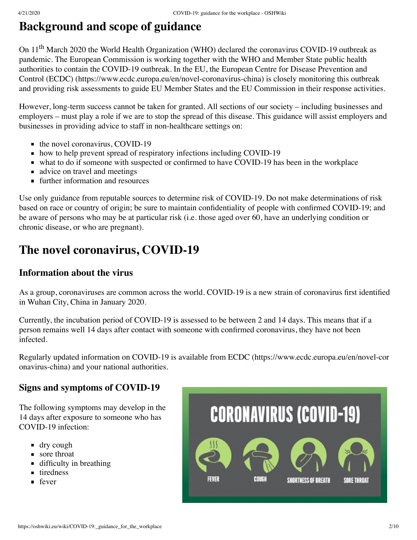## <span id="page-1-0"></span>**Background and scope of guidance**

On 11<sup>th</sup> March 2020 the World Health Organization (WHO) declared the coronavirus COVID-19 outbreak as pandemic. The European Commission is working together with the WHO and Member State public health [authorities to contain the COVID-19 outbreak. In the EU, the European Centre for Disease Prevention and](https://www.ecdc.europa.eu/en/novel-coronavirus-china) Control (ECDC) (https://www.ecdc.europa.eu/en/novel-coronavirus-china) is closely monitoring this outbreak and providing risk assessments to guide EU Member States and the EU Commission in their response activities.

However, long-term success cannot be taken for granted. All sections of our society – including businesses and employers – must play a role if we are to stop the spread of this disease. This guidance will assist employers and businesses in providing advice to staff in non-healthcare settings on:

- $\blacksquare$  the novel coronavirus, COVID-19
- how to help prevent spread of respiratory infections including COVID-19
- what to do if someone with suspected or confirmed to have COVID-19 has been in the workplace
- advice on travel and meetings
- **further information and resources**

Use only guidance from reputable sources to determine risk of COVID-19. Do not make determinations of risk based on race or country of origin; be sure to maintain confidentiality of people with confirmed COVID-19; and be aware of persons who may be at particular risk (i.e. those aged over 60, have an underlying condition or chronic disease, or who are pregnant).

## <span id="page-1-1"></span>**The novel coronavirus, COVID-19**

#### <span id="page-1-2"></span>**Information about the virus**

As a group, coronaviruses are common across the world. COVID-19 is a new strain of coronavirus first identified in Wuhan City, China in January 2020.

Currently, the incubation period of COVID-19 is assessed to be between 2 and 14 days. This means that if a person remains well 14 days after contact with someone with confirmed coronavirus, they have not been infected.

[Regularly updated information on COVID-19 is available from ECDC \(https://www.ecdc.europa.eu/en/novel-cor](https://www.ecdc.europa.eu/en/novel-coronavirus-china) onavirus-china) and your national authorities.

#### <span id="page-1-3"></span>**Signs and symptoms of COVID-19**

The following symptoms may develop in the 14 days after exposure to someone who has COVID-19 infection:

- dry cough
- sore throat
- **difficulty in breathing**
- untiredness
- **f**ever

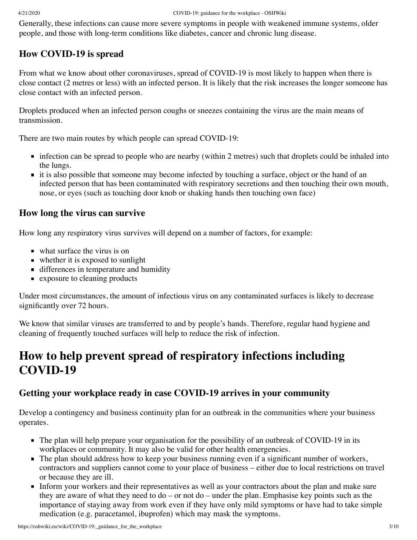Generally, these infections can cause more severe symptoms in people with weakened immune systems, older people, and those with long-term conditions like diabetes, cancer and chronic lung disease.

### <span id="page-2-0"></span>**How COVID-19 is spread**

From what we know about other coronaviruses, spread of COVID-19 is most likely to happen when there is close contact (2 metres or less) with an infected person. It is likely that the risk increases the longer someone has close contact with an infected person.

Droplets produced when an infected person coughs or sneezes containing the virus are the main means of transmission.

There are two main routes by which people can spread COVID-19:

- infection can be spread to people who are nearby (within 2 metres) such that droplets could be inhaled into the lungs.
- it is also possible that someone may become infected by touching a surface, object or the hand of an infected person that has been contaminated with respiratory secretions and then touching their own mouth, nose, or eyes (such as touching door knob or shaking hands then touching own face)

#### <span id="page-2-1"></span>**How long the virus can survive**

How long any respiratory virus survives will depend on a number of factors, for example:

- what surface the virus is on
- whether it is exposed to sunlight
- differences in temperature and humidity
- **Exposure to cleaning products**

Under most circumstances, the amount of infectious virus on any contaminated surfaces is likely to decrease significantly over 72 hours.

We know that similar viruses are transferred to and by people's hands. Therefore, regular hand hygiene and cleaning of frequently touched surfaces will help to reduce the risk of infection.

## <span id="page-2-2"></span>**How to help prevent spread of respiratory infections including COVID-19**

#### <span id="page-2-3"></span>**Getting your workplace ready in case COVID-19 arrives in your community**

Develop a contingency and business continuity plan for an outbreak in the communities where your business operates.

- The plan will help prepare your organisation for the possibility of an outbreak of COVID-19 in its workplaces or community. It may also be valid for other health emergencies.
- The plan should address how to keep your business running even if a significant number of workers, contractors and suppliers cannot come to your place of business – either due to local restrictions on travel or because they are ill.
- Inform your workers and their representatives as well as your contractors about the plan and make sure they are aware of what they need to do – or not do – under the plan. Emphasise key points such as the importance of staying away from work even if they have only mild symptoms or have had to take simple medication (e.g. paracetamol, ibuprofen) which may mask the symptoms.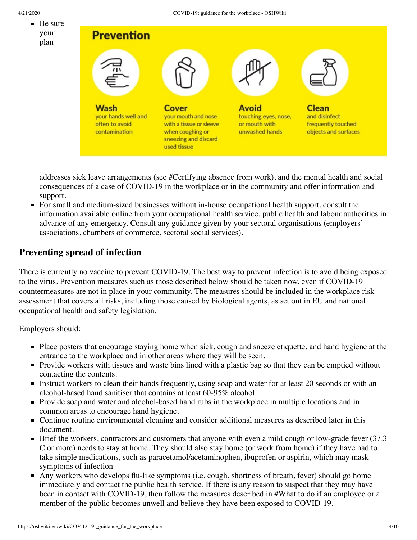

addresses sick leave arrangements (see [#Certifying absence from work](#page-8-1)), and the mental health and social consequences of a case of COVID-19 in the workplace or in the community and offer information and support.

For small and medium-sized businesses without in-house occupational health support, consult the information available online from your occupational health service, public health and labour authorities in advance of any emergency. Consult any guidance given by your sectoral organisations (employers' associations, chambers of commerce, sectoral social services).

#### <span id="page-3-0"></span>**Preventing spread of infection**

There is currently no vaccine to prevent COVID-19. The best way to prevent infection is to avoid being exposed to the virus. Prevention measures such as those described below should be taken now, even if COVID-19 countermeasures are not in place in your community. The measures should be included in the workplace risk assessment that covers all risks, including those caused by [biological agents,](https://oshwiki.eu/wiki/Category:Biological_agents) as set out in EU and national occupational health and safety legislation.

Employers should:

- Place posters that encourage staying home when sick, cough and sneeze etiquette, and hand hygiene at the entrance to the workplace and in other areas where they will be seen.
- Provide workers with tissues and waste bins lined with a plastic bag so that they can be emptied without contacting the contents.
- Instruct workers to clean their hands frequently, using soap and water for at least 20 seconds or with an alcohol-based hand sanitiser that contains at least 60-95% alcohol.
- Provide soap and water and alcohol-based hand rubs in the workplace in multiple locations and in common areas to encourage hand hygiene.
- Continue routine environmental cleaning and consider additional measures as described later in this document.
- Brief the workers, contractors and customers that anyone with even a mild cough or low-grade fever  $(37.3)$ C or more) needs to stay at home. They should also stay home (or work from home) if they have had to take simple medications, such as paracetamol/acetaminophen, ibuprofen or aspirin, which may mask symptoms of infection
- Any workers who develops flu-like symptoms (i.e. cough, shortness of breath, fever) should go home immediately and contact the public health service. If there is any reason to suspect that they may have been in contact with COVID-19, then follow the measures described in #What to do if an employee or a member of the public becomes unwell and believe they have been exposed to COVID-19.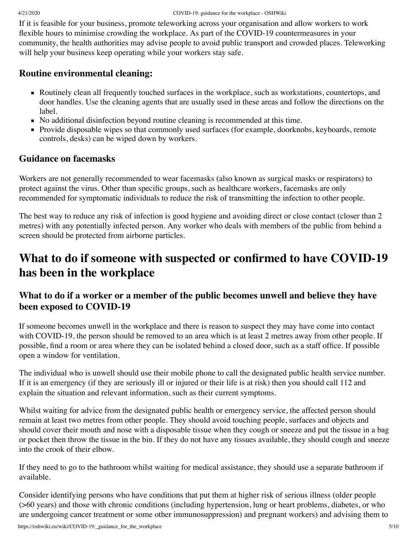If it is feasible for your business, promote teleworking across your organisation and allow workers to work flexible hours to minimise crowding the workplace. As part of the COVID-19 countermeasures in your community, the health authorities may advise people to avoid public transport and crowded places. Teleworking will help your business keep operating while your workers stay safe.

#### <span id="page-4-0"></span>**Routine environmental cleaning:**

- Routinely clean all frequently touched surfaces in the workplace, such as workstations, countertops, and door handles. Use the cleaning agents that are usually used in these areas and follow the directions on the label.
- No additional disinfection beyond routine cleaning is recommended at this time.
- **Provide disposable wipes so that commonly used surfaces (for example, doorknobs, keyboards, remote** controls, desks) can be wiped down by workers.

#### <span id="page-4-1"></span>**Guidance on facemasks**

Workers are not generally recommended to wear facemasks (also known as surgical masks or respirators) to protect against the virus. Other than specific groups, such as healthcare workers, facemasks are only recommended for symptomatic individuals to reduce the risk of transmitting the infection to other people.

The best way to reduce any risk of infection is good hygiene and avoiding direct or close contact (closer than 2 metres) with any potentially infected person. Any worker who deals with members of the public from behind a screen should be protected from airborne particles.

## <span id="page-4-2"></span>**What to do if someone with suspected or confirmed to have COVID-19 has been in the workplace**

#### <span id="page-4-3"></span>**What to do if a worker or a member of the public becomes unwell and believe they have been exposed to COVID-19**

If someone becomes unwell in the workplace and there is reason to suspect they may have come into contact with COVID-19, the person should be removed to an area which is at least 2 metres away from other people. If possible, find a room or area where they can be isolated behind a closed door, such as a staff office. If possible open a window for ventilation.

The individual who is unwell should use their mobile phone to call the designated public health service number. If it is an emergency (if they are seriously ill or injured or their life is at risk) then you should call 112 and explain the situation and relevant information, such as their current symptoms.

Whilst waiting for advice from the designated public health or emergency service, the affected person should remain at least two metres from other people. They should avoid touching people, surfaces and objects and should cover their mouth and nose with a disposable tissue when they cough or sneeze and put the tissue in a bag or pocket then throw the tissue in the bin. If they do not have any tissues available, they should cough and sneeze into the crook of their elbow.

If they need to go to the bathroom whilst waiting for medical assistance, they should use a separate bathroom if available.

Consider identifying persons who have conditions that put them at higher risk of serious illness (older people (>60 years) and those with chronic conditions (including hypertension, lung or heart problems, diabetes, or who are undergoing cancer treatment or some other immunosuppression) and pregnant workers) and advising them to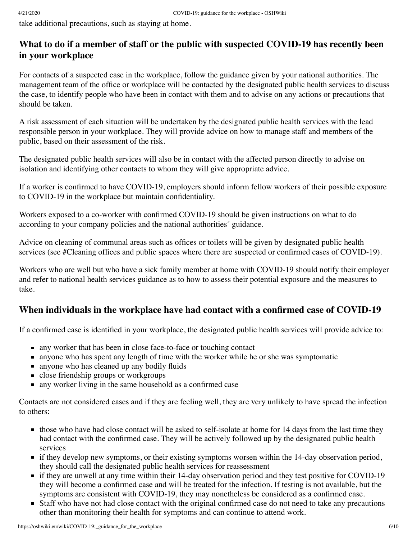take additional precautions, such as staying at home.

#### <span id="page-5-0"></span>**What to do if a member of staff or the public with suspected COVID-19 has recently been in your workplace**

For contacts of a suspected case in the workplace, follow the guidance given by your national authorities. The management team of the office or workplace will be contacted by the designated public health services to discuss the case, to identify people who have been in contact with them and to advise on any actions or precautions that should be taken.

A risk assessment of each situation will be undertaken by the designated public health services with the lead responsible person in your workplace. They will provide advice on how to manage staff and members of the public, based on their assessment of the risk.

The designated public health services will also be in contact with the affected person directly to advise on isolation and identifying other contacts to whom they will give appropriate advice.

If a worker is confirmed to have COVID-19, employers should inform fellow workers of their possible exposure to COVID-19 in the workplace but maintain confidentiality.

Workers exposed to a co-worker with confirmed COVID-19 should be given instructions on what to do according to your company policies and the national authorities´ guidance.

Advice on cleaning of communal areas such as offices or toilets will be given by designated public health services (see [#Cleaning offices and public spaces where there are suspected or confirmed cases of COVID-19\)](#page-6-0).

Workers who are well but who have a sick family member at home with COVID-19 should notify their employer and refer to national health services guidance as to how to assess their potential exposure and the measures to take.

#### <span id="page-5-1"></span>**When individuals in the workplace have had contact with a confirmed case of COVID-19**

If a confirmed case is identified in your workplace, the designated public health services will provide advice to:

- any worker that has been in close face-to-face or touching contact
- **a** anyone who has spent any length of time with the worker while he or she was symptomatic
- n anyone who has cleaned up any bodily fluids
- close friendship groups or workgroups
- no any worker living in the same household as a confirmed case

Contacts are not considered cases and if they are feeling well, they are very unlikely to have spread the infection to others:

- those who have had close contact will be asked to self-isolate at home for 14 days from the last time they had contact with the confirmed case. They will be actively followed up by the designated public health services
- if they develop new symptoms, or their existing symptoms worsen within the 14-day observation period, they should call the designated public health services for reassessment
- **If they are unwell at any time within their 14-day observation period and they test positive for COVID-19** they will become a confirmed case and will be treated for the infection. If testing is not available, but the symptoms are consistent with COVID-19, they may nonetheless be considered as a confirmed case.
- Staff who have not had close contact with the original confirmed case do not need to take any precautions other than monitoring their health for symptoms and can continue to attend work.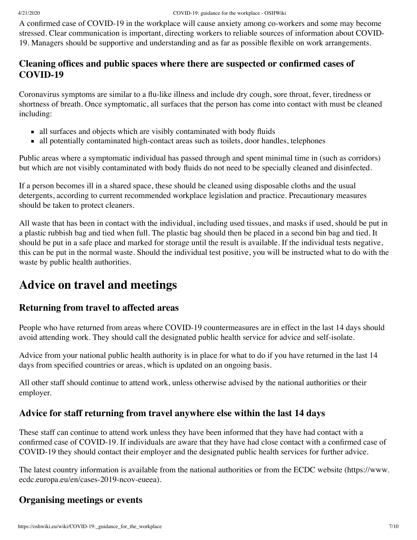A confirmed case of COVID-19 in the workplace will cause anxiety among co-workers and some may become stressed. Clear communication is important, directing workers to reliable sources of information about COVID-19. Managers should be supportive and understanding and as far as possible flexible on work arrangements.

#### <span id="page-6-0"></span>**Cleaning offices and public spaces where there are suspected or confirmed cases of COVID-19**

Coronavirus symptoms are similar to a flu-like illness and include dry cough, sore throat, fever, tiredness or shortness of breath. Once symptomatic, all surfaces that the person has come into contact with must be cleaned including:

- all surfaces and objects which are visibly contaminated with body fluids
- all potentially contaminated high-contact areas such as toilets, door handles, telephones

Public areas where a symptomatic individual has passed through and spent minimal time in (such as corridors) but which are not visibly contaminated with body fluids do not need to be specially cleaned and disinfected.

If a person becomes ill in a shared space, these should be cleaned using disposable cloths and the usual detergents, according to current recommended workplace legislation and practice. Precautionary measures should be taken to protect cleaners.

All waste that has been in contact with the individual, including used tissues, and masks if used, should be put in a plastic rubbish bag and tied when full. The plastic bag should then be placed in a second bin bag and tied. It should be put in a safe place and marked for storage until the result is available. If the individual tests negative, this can be put in the normal waste. Should the individual test positive, you will be instructed what to do with the waste by public health authorities.

### <span id="page-6-1"></span>**Advice on travel and meetings**

#### <span id="page-6-2"></span>**Returning from travel to affected areas**

People who have returned from areas where COVID-19 countermeasures are in effect in the last 14 days should avoid attending work. They should call the designated public health service for advice and self-isolate.

Advice from your national public health authority is in place for what to do if you have returned in the last 14 days from specified countries or areas, which is updated on an ongoing basis.

All other staff should continue to attend work, unless otherwise advised by the national authorities or their employer.

#### <span id="page-6-3"></span>**Advice for staff returning from travel anywhere else within the last 14 days**

These staff can continue to attend work unless they have been informed that they have had contact with a confirmed case of COVID-19. If individuals are aware that they have had close contact with a confirmed case of COVID-19 they should contact their employer and the designated public health services for further advice.

[The latest country information is available from the national authorities or from the ECDC website \(https://www.](https://www.ecdc.europa.eu/en/cases-2019-ncov-eueea) ecdc.europa.eu/en/cases-2019-ncov-eueea).

#### <span id="page-6-4"></span>**Organising meetings or events**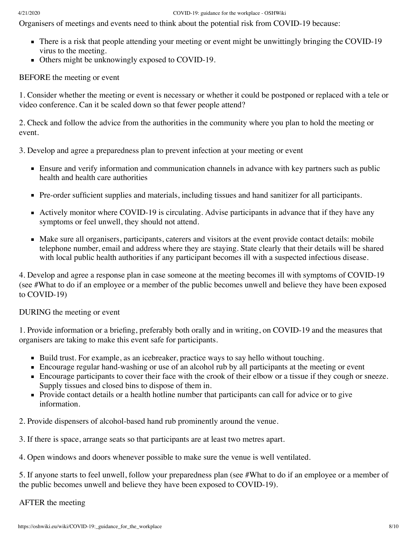#### 4/21/2020 COVID-19: guidance for the workplace - OSHWiki

Organisers of meetings and events need to think about the potential risk from COVID-19 because:

- There is a risk that people attending your meeting or event might be unwittingly bringing the COVID-19 virus to the meeting.
- Others might be unknowingly exposed to COVID-19.

BEFORE the meeting or event

1. Consider whether the meeting or event is necessary or whether it could be postponed or replaced with a tele or video conference. Can it be scaled down so that fewer people attend?

2. Check and follow the advice from the authorities in the community where you plan to hold the meeting or event.

3. Develop and agree a preparedness plan to prevent infection at your meeting or event

- **Ensure and verify information and communication channels in advance with key partners such as public** health and health care authorities
- Pre-order sufficient supplies and materials, including tissues and hand sanitizer for all participants.
- Actively monitor where COVID-19 is circulating. Advise participants in advance that if they have any symptoms or feel unwell, they should not attend.
- Make sure all organisers, participants, caterers and visitors at the event provide contact details: mobile telephone number, email and address where they are staying. State clearly that their details will be shared with local public health authorities if any participant becomes ill with a suspected infectious disease.

4. Develop and agree a response plan in case someone at the meeting becomes ill with symptoms of COVID-19 (see #What to do if an employee or a member of the public becomes unwell and believe they have been exposed to COVID-19)

DURING the meeting or event

1. Provide information or a briefing, preferably both orally and in writing, on COVID-19 and the measures that organisers are taking to make this event safe for participants.

- Build trust. For example, as an icebreaker, practice ways to say hello without touching.
- **Encourage regular hand-washing or use of an alcohol rub by all participants at the meeting or event**
- Encourage participants to cover their face with the crook of their elbow or a tissue if they cough or sneeze. Supply tissues and closed bins to dispose of them in.
- Provide contact details or a health hotline number that participants can call for advice or to give information.
- 2. Provide dispensers of alcohol-based hand rub prominently around the venue.

3. If there is space, arrange seats so that participants are at least two metres apart.

4. Open windows and doors whenever possible to make sure the venue is well ventilated.

5. If anyone starts to feel unwell, follow your preparedness plan (see #What to do if an employee or a member of the public becomes unwell and believe they have been exposed to COVID-19).

AFTER the meeting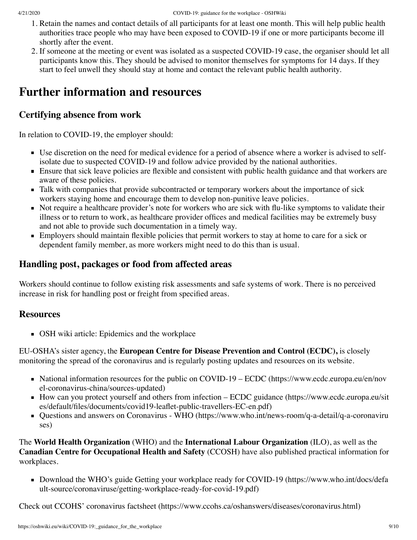- 1. Retain the names and contact details of all participants for at least one month. This will help public health authorities trace people who may have been exposed to COVID-19 if one or more participants become ill shortly after the event.
- 2. If someone at the meeting or event was isolated as a suspected COVID-19 case, the organiser should let all participants know this. They should be advised to monitor themselves for symptoms for 14 days. If they start to feel unwell they should stay at home and contact the relevant public health authority.

## <span id="page-8-0"></span>**Further information and resources**

#### <span id="page-8-1"></span>**Certifying absence from work**

In relation to COVID-19, the employer should:

- Use discretion on the need for medical evidence for a period of absence where a worker is advised to selfisolate due to suspected COVID-19 and follow advice provided by the national authorities.
- **Ensure that sick leave policies are flexible and consistent with public health guidance and that workers are** aware of these policies.
- Talk with companies that provide subcontracted or temporary workers about the importance of sick workers staying home and encourage them to develop non-punitive leave policies.
- Not require a healthcare provider's note for workers who are sick with flu-like symptoms to validate their illness or to return to work, as healthcare provider offices and medical facilities may be extremely busy and not able to provide such documentation in a timely way.
- **Employers should maintain flexible policies that permit workers to stay at home to care for a sick or** dependent family member, as more workers might need to do this than is usual.

#### <span id="page-8-2"></span>**Handling post, packages or food from affected areas**

Workers should continue to follow existing risk assessments and safe systems of work. There is no perceived increase in risk for handling post or freight from specified areas.

#### <span id="page-8-3"></span>**Resources**

**OSH** wiki article: Epidemics and the workplace

EU-OSHA's sister agency, the **European Centre for Disease Prevention and Control (ECDC),** is closely monitoring the spread of the coronavirus and is regularly posting updates and resources on its website.

- [National information resources for the public on COVID-19 ECDC \(https://www.ecdc.europa.eu/en/nov](https://www.ecdc.europa.eu/en/novel-coronavirus-china/sources-updated) el-coronavirus-china/sources-updated)
- [How can you protect yourself and others from infection ECDC guidance \(https://www.ecdc.europa.eu/sit](https://www.ecdc.europa.eu/sites/default/files/documents/covid19-leaflet-public-travellers-EC-en.pdf) es/default/files/documents/covid19-leaflet-public-travellers-EC-en.pdf)
- [Questions and answers on Coronavirus WHO \(https://www.who.int/news-room/q-a-detail/q-a-coronaviru](https://www.who.int/news-room/q-a-detail/q-a-coronaviruses) ses)

The **World Health Organization** (WHO) and the **International Labour Organization** (ILO), as well as the **Canadian Centre for Occupational Health and Safety** (CCOSH) have also published practical information for workplaces.

■ [Download the WHO's guide Getting your workplace ready for COVID-19 \(https://www.who.int/docs/defa](https://www.who.int/docs/default-source/coronaviruse/getting-workplace-ready-for-covid-19.pdf) ult-source/coronaviruse/getting-workplace-ready-for-covid-19.pdf)

Check out CCOHS' [coronavirus factsheet \(https://www.ccohs.ca/oshanswers/diseases/coronavirus.html\)](https://www.ccohs.ca/oshanswers/diseases/coronavirus.html)